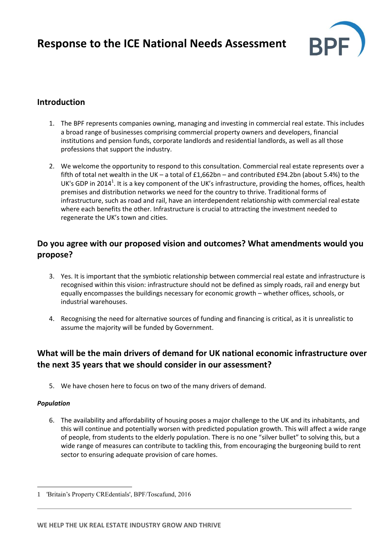

## **Introduction**

- 1. The BPF represents companies owning, managing and investing in commercial real estate. This includes a broad range of businesses comprising commercial property owners and developers, financial institutions and pension funds, corporate landlords and residential landlords, as well as all those professions that support the industry.
- 2. We welcome the opportunity to respond to this consultation. Commercial real estate represents over a fifth of total net wealth in the UK – a total of £1,662bn – and contributed £94.2bn (about 5.4%) to the UK's GDP in 2014<sup>1</sup>. It is a key component of the UK's infrastructure, providing the homes, offices, health premises and distribution networks we need for the country to thrive. Traditional forms of infrastructure, such as road and rail, have an interdependent relationship with commercial real estate where each benefits the other. Infrastructure is crucial to attracting the investment needed to regenerate the UK's town and cities.

## **Do you agree with our proposed vision and outcomes? What amendments would you propose?**

- 3. Yes. It is important that the symbiotic relationship between commercial real estate and infrastructure is recognised within this vision: infrastructure should not be defined as simply roads, rail and energy but equally encompasses the buildings necessary for economic growth – whether offices, schools, or industrial warehouses.
- 4. Recognising the need for alternative sources of funding and financing is critical, as it is unrealistic to assume the majority will be funded by Government.

# **What will be the main drivers of demand for UK national economic infrastructure over the next 35 years that we should consider in our assessment?**

5. We have chosen here to focus on two of the many drivers of demand.

### *Population*

 $\overline{a}$ 

6. The availability and affordability of housing poses a major challenge to the UK and its inhabitants, and this will continue and potentially worsen with predicted population growth. This will affect a wide range of people, from students to the elderly population. There is no one "silver bullet" to solving this, but a wide range of measures can contribute to tackling this, from encouraging the burgeoning build to rent sector to ensuring adequate provision of care homes.

<sup>1</sup> 'Britain's Property CREdentials', BPF/Toscafund, 2016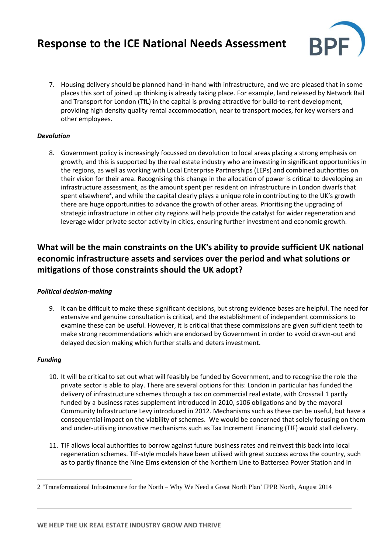# **Response to the ICE National Needs Assessment**



7. Housing delivery should be planned hand-in-hand with infrastructure, and we are pleased that in some places this sort of joined up thinking is already taking place. For example, land released by Network Rail and Transport for London (TfL) in the capital is proving attractive for build-to-rent development, providing high density quality rental accommodation, near to transport modes, for key workers and other employees.

### *Devolution*

8. Government policy is increasingly focussed on devolution to local areas placing a strong emphasis on growth, and this is supported by the real estate industry who are investing in significant opportunities in the regions, as well as working with Local Enterprise Partnerships (LEPs) and combined authorities on their vision for their area. Recognising this change in the allocation of power is critical to developing an infrastructure assessment, as the amount spent per resident on infrastructure in London dwarfs that spent elsewhere<sup>2</sup>, and while the capital clearly plays a unique role in contributing to the UK's growth there are huge opportunities to advance the growth of other areas. Prioritising the upgrading of strategic infrastructure in other city regions will help provide the catalyst for wider regeneration and leverage wider private sector activity in cities, ensuring further investment and economic growth.

## **What will be the main constraints on the UK's ability to provide sufficient UK national economic infrastructure assets and services over the period and what solutions or mitigations of those constraints should the UK adopt?**

### *Political decision-making*

9. It can be difficult to make these significant decisions, but strong evidence bases are helpful. The need for extensive and genuine consultation is critical, and the establishment of independent commissions to examine these can be useful. However, it is critical that these commissions are given sufficient teeth to make strong recommendations which are endorsed by Government in order to avoid drawn-out and delayed decision making which further stalls and deters investment.

#### *Funding*

 $\overline{a}$ 

- 10. It will be critical to set out what will feasibly be funded by Government, and to recognise the role the private sector is able to play. There are several options for this: London in particular has funded the delivery of infrastructure schemes through a tax on commercial real estate, with Crossrail 1 partly funded by a business rates supplement introduced in 2010, s106 obligations and by the mayoral Community Infrastructure Levy introduced in 2012. Mechanisms such as these can be useful, but have a consequential impact on the viability of schemes. We would be concerned that solely focusing on them and under-utilising innovative mechanisms such as Tax Increment Financing (TIF) would stall delivery.
- 11. TIF allows local authorities to borrow against future business rates and reinvest this back into local regeneration schemes. TIF-style models have been utilised with great success across the country, such as to partly finance the Nine Elms extension of the Northern Line to Battersea Power Station and in

<sup>2</sup> 'Transformational Infrastructure for the North – Why We Need a Great North Plan' IPPR North, August 2014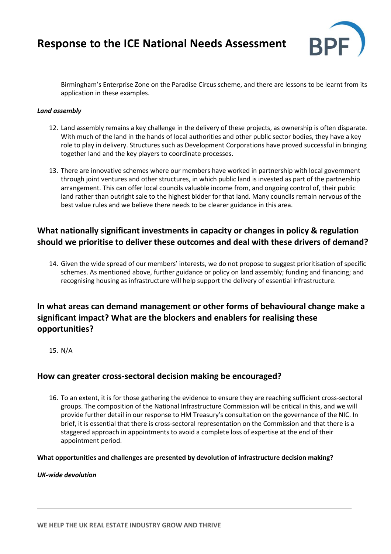# **Response to the ICE National Needs Assessment**



Birmingham's Enterprise Zone on the Paradise Circus scheme, and there are lessons to be learnt from its application in these examples.

#### *Land assembly*

- 12. Land assembly remains a key challenge in the delivery of these projects, as ownership is often disparate. With much of the land in the hands of local authorities and other public sector bodies, they have a key role to play in delivery. Structures such as Development Corporations have proved successful in bringing together land and the key players to coordinate processes.
- 13. There are innovative schemes where our members have worked in partnership with local government through joint ventures and other structures, in which public land is invested as part of the partnership arrangement. This can offer local councils valuable income from, and ongoing control of, their public land rather than outright sale to the highest bidder for that land. Many councils remain nervous of the best value rules and we believe there needs to be clearer guidance in this area.

## **What nationally significant investments in capacity or changes in policy & regulation should we prioritise to deliver these outcomes and deal with these drivers of demand?**

14. Given the wide spread of our members' interests, we do not propose to suggest prioritisation of specific schemes. As mentioned above, further guidance or policy on land assembly; funding and financing; and recognising housing as infrastructure will help support the delivery of essential infrastructure.

## **In what areas can demand management or other forms of behavioural change make a significant impact? What are the blockers and enablers for realising these opportunities?**

15. N/A

### **How can greater cross-sectoral decision making be encouraged?**

16. To an extent, it is for those gathering the evidence to ensure they are reaching sufficient cross-sectoral groups. The composition of the National Infrastructure Commission will be critical in this, and we will provide further detail in our response to HM Treasury's consultation on the governance of the NIC. In brief, it is essential that there is cross-sectoral representation on the Commission and that there is a staggered approach in appointments to avoid a complete loss of expertise at the end of their appointment period.

**What opportunities and challenges are presented by devolution of infrastructure decision making?**

*UK-wide devolution*